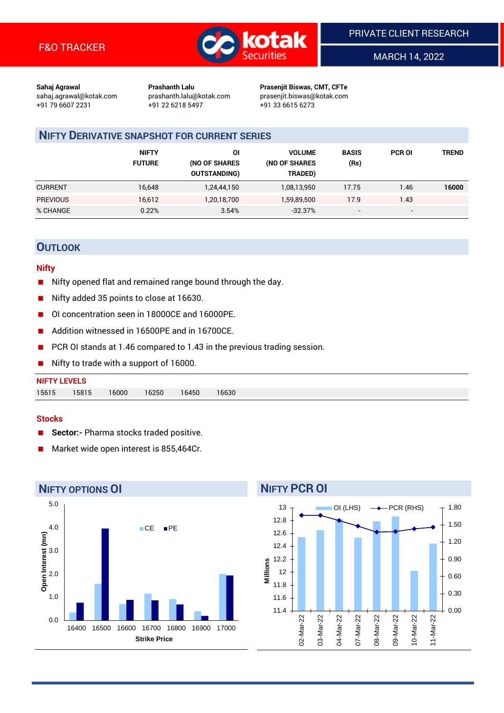

MARCH 14, 2022

**Sahaj Agrawal Prashanth Lalu Prasenjit Biswas, CMT, CFTe** +91 79 6607 2231 +91 22 6218 5497 +91 33 6615 6273

sahaj.agrawal@kotak.com [prashanth.lalu@kotak.com](mailto:prashanth.lalu@kotak.com) prasenjit.biswas@kotak.com

## **NIFTY DERIVATIVE SNAPSHOT FOR CURRENT SERIES**

|                 | <b>NIFTY</b><br><b>FUTURE</b> | ΟI<br>(NO OF SHARES<br><b>OUTSTANDING)</b> | <b>VOLUME</b><br>(NO OF SHARES<br>TRADED) | <b>BASIS</b><br>(Rs)     | <b>PCR OI</b>            | TREND |
|-----------------|-------------------------------|--------------------------------------------|-------------------------------------------|--------------------------|--------------------------|-------|
| <b>CURRENT</b>  | 16,648                        | 1,24,44,150                                | 1,08,13,950                               | 17.75                    | 1.46                     | 16000 |
| <b>PREVIOUS</b> | 16,612                        | 1,20,18,700                                | 1,59,89,500                               | 17.9                     | 1.43                     |       |
| % CHANGE        | 0.22%                         | 3.54%                                      | $-32.37%$                                 | $\overline{\phantom{a}}$ | $\overline{\phantom{a}}$ |       |

## **OUTLOOK**

### **Nifty**

- Nifty opened flat and remained range bound through the day.
- Nifty added 35 points to close at 16630.
- OI concentration seen in 18000CE and 16000PE.
- Addition witnessed in 16500PE and in 16700CE.
- PCR OI stands at 1.46 compared to 1.43 in the previous trading session.
- Nifty to trade with a support of 16000.

## **NIFTY LEVELS** 15615 15815 16000 16250 16450 16630

#### **Stocks**

- **Sector:-** Pharma stocks traded positive.
- Market wide open interest is 855,464Cr.



## 12.8

13

**NIFTY PCR OI**



OI (LHS)  $\longrightarrow$  PCR (RHS)

1.80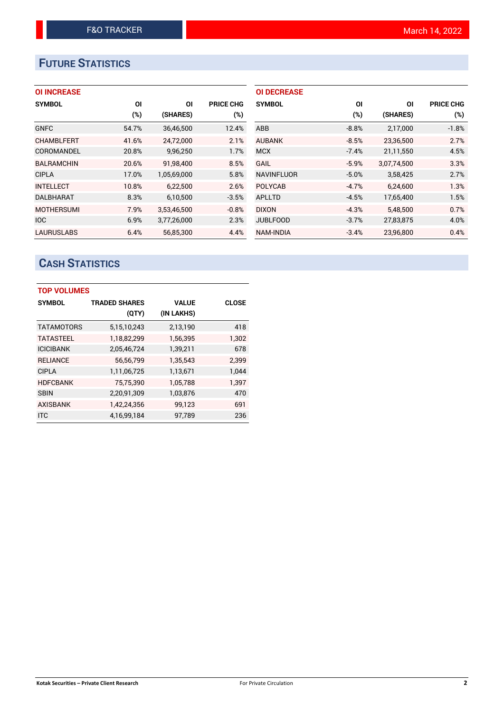# **FUTURE STATISTICS**

## **OI INCREASE**

| <b>SYMBOL</b>     | ΟI     | ΟI          | <b>PRICE CHG</b> |
|-------------------|--------|-------------|------------------|
|                   | $(\%)$ | (SHARES)    | (%)              |
| <b>GNFC</b>       | 54.7%  | 36,46,500   | 12.4%            |
| <b>CHAMBLFERT</b> | 41.6%  | 24,72,000   | 2.1%             |
| COROMANDEL        | 20.8%  | 9,96,250    | 1.7%             |
| <b>BALRAMCHIN</b> | 20.6%  | 91.98.400   | 8.5%             |
| <b>CIPLA</b>      | 17.0%  | 1,05,69,000 | 5.8%             |
| <b>INTELLECT</b>  | 10.8%  | 6,22,500    | 2.6%             |
| <b>DALBHARAT</b>  | 8.3%   | 6,10,500    | $-3.5%$          |
| <b>MOTHERSUMI</b> | 7.9%   | 3,53,46,500 | $-0.8%$          |
| <b>IOC</b>        | 6.9%   | 3,77,26,000 | 2.3%             |
| <b>LAURUSLABS</b> | 6.4%   | 56.85.300   | 4.4%             |

| <b>OI DECREASE</b> |         |             |                  |
|--------------------|---------|-------------|------------------|
| <b>SYMBOL</b>      | ΟI      | ΟI          | <b>PRICE CHG</b> |
|                    | $(\%)$  | (SHARES)    | $(\%)$           |
| ABB                | $-8.8%$ | 2,17,000    | $-1.8%$          |
| <b>AUBANK</b>      | $-8.5%$ | 23,36,500   | 2.7%             |
| <b>MCX</b>         | $-7.4%$ | 21,11,550   | 4.5%             |
| <b>GAIL</b>        | $-5.9%$ | 3,07,74,500 | 3.3%             |
| <b>NAVINFLUOR</b>  | $-5.0%$ | 3,58,425    | 2.7%             |
| <b>POLYCAB</b>     | $-4.7%$ | 6,24,600    | 1.3%             |
| <b>APLLTD</b>      | $-4.5%$ | 17,65,400   | 1.5%             |
| <b>DIXON</b>       | $-4.3%$ | 5,48,500    | 0.7%             |
| <b>JUBLFOOD</b>    | $-3.7%$ | 27,83,875   | 4.0%             |
| <b>NAM-INDIA</b>   | $-3.4%$ | 23,96,800   | 0.4%             |

## **CASH STATISTICS**

| <b>TOP VOLUMES</b> |                      |              |              |  |  |  |  |  |
|--------------------|----------------------|--------------|--------------|--|--|--|--|--|
| <b>SYMBOL</b>      | <b>TRADED SHARES</b> | <b>VALUE</b> | <b>CLOSE</b> |  |  |  |  |  |
|                    | (QTY)                | (IN LAKHS)   |              |  |  |  |  |  |
| <b>TATAMOTORS</b>  | 5,15,10,243          | 2,13,190     | 418          |  |  |  |  |  |
| <b>TATASTEEL</b>   | 1,18,82,299          | 1,56,395     | 1.302        |  |  |  |  |  |
| <b>ICICIBANK</b>   | 2,05,46,724          | 1,39,211     | 678          |  |  |  |  |  |
| <b>RELIANCE</b>    | 56,56,799            | 1,35,543     | 2.399        |  |  |  |  |  |
| <b>CIPLA</b>       | 1,11,06,725          | 1,13,671     | 1,044        |  |  |  |  |  |
| <b>HDFCBANK</b>    | 75,75,390            | 1,05,788     | 1,397        |  |  |  |  |  |
| SBIN               | 2,20,91,309          | 1,03,876     | 470          |  |  |  |  |  |
| <b>AXISBANK</b>    | 1,42,24,356          | 99,123       | 691          |  |  |  |  |  |
| <b>ITC</b>         | 4,16,99,184          | 97,789       | 236          |  |  |  |  |  |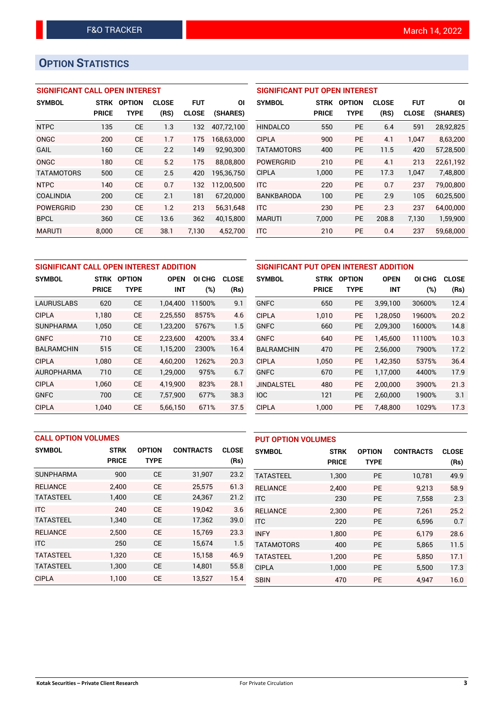## **OPTION STATISTICS**

## **SIGNIFICANT CALL OPEN INTEREST**

| <b>SYMBOL</b>     | <b>STRK</b>  | <b>OPTION</b> | <b>CLOSE</b> | FUT          | ΟI         |
|-------------------|--------------|---------------|--------------|--------------|------------|
|                   | <b>PRICE</b> | <b>TYPE</b>   | (RS)         | <b>CLOSE</b> | (SHARES)   |
| <b>NTPC</b>       | 135          | <b>CE</b>     | 1.3          | 132          | 407,72,100 |
| ONGC              | 200          | CE            | 1.7          | 175          | 168,63,000 |
| GAIL              | 160          | <b>CE</b>     | 2.2          | 149          | 92,90,300  |
| ONGC              | 180          | CF            | 5.2          | 175          | 88,08,800  |
| <b>TATAMOTORS</b> | 500          | <b>CE</b>     | 2.5          | 420          | 195,36,750 |
| <b>NTPC</b>       | 140          | <b>CE</b>     | 0.7          | 132          | 112,00,500 |
| <b>COALINDIA</b>  | 200          | CE            | 2.1          | 181          | 67,20,000  |
| <b>POWERGRID</b>  | 230          | CF            | 1.2          | 213          | 56,31,648  |
| <b>BPCL</b>       | 360          | <b>CE</b>     | 13.6         | 362          | 40,15,800  |
| <b>MARUTI</b>     | 8.000        | CE            | 38.1         | 7.130        | 4,52,700   |

| <b>SIGNIFICANT PUT OPEN INTEREST</b> |              |               |              |              |           |  |  |  |  |  |
|--------------------------------------|--------------|---------------|--------------|--------------|-----------|--|--|--|--|--|
| <b>SYMBOL</b>                        | <b>STRK</b>  | <b>OPTION</b> | <b>CLOSE</b> | <b>FUT</b>   | ΟI        |  |  |  |  |  |
|                                      | <b>PRICE</b> | TYPE          | (RS)         | <b>CLOSE</b> | (SHARES)  |  |  |  |  |  |
| <b>HINDALCO</b>                      | 550          | <b>PE</b>     | 6.4          | 591          | 28,92,825 |  |  |  |  |  |
| <b>CIPLA</b>                         | 900          | <b>PE</b>     | 4.1          | 1.047        | 8,63,200  |  |  |  |  |  |
| <b>TATAMOTORS</b>                    | 400          | <b>PE</b>     | 11.5         | 420          | 57,28,500 |  |  |  |  |  |
| <b>POWERGRID</b>                     | 210          | <b>PE</b>     | 4.1          | 213          | 22,61,192 |  |  |  |  |  |
| <b>CIPLA</b>                         | 1,000        | PE            | 17.3         | 1,047        | 7,48,800  |  |  |  |  |  |
| <b>ITC</b>                           | 220          | <b>PE</b>     | 0.7          | 237          | 79,00,800 |  |  |  |  |  |
| <b>BANKBARODA</b>                    | 100          | <b>PE</b>     | 2.9          | 105          | 60,25,500 |  |  |  |  |  |
| <b>ITC</b>                           | 230          | <b>PE</b>     | 2.3          | 237          | 64,00,000 |  |  |  |  |  |
| <b>MARUTI</b>                        | 7,000        | PE            | 208.8        | 7,130        | 1,59,900  |  |  |  |  |  |
| <b>ITC</b>                           | 210          | <b>PE</b>     | 0.4          | 237          | 59.68.000 |  |  |  |  |  |

| SIGNIFICANT CALL OPEN INTEREST ADDITION |              |               |             |                  | SIGNIFICANT PUT OPEN INTEREST ADDITION |                   |              |               |             |        |              |
|-----------------------------------------|--------------|---------------|-------------|------------------|----------------------------------------|-------------------|--------------|---------------|-------------|--------|--------------|
| <b>SYMBOL</b>                           | <b>STRK</b>  | <b>OPTION</b> | <b>OPEN</b> | <b>CHG</b><br>ΟI | <b>CLOSE</b>                           | <b>SYMBOL</b>     | <b>STRK</b>  | <b>OPTION</b> | <b>OPEN</b> | OI CHG | <b>CLOSE</b> |
|                                         | <b>PRICE</b> | <b>TYPE</b>   | <b>INT</b>  | (%)              | (Rs)                                   |                   | <b>PRICE</b> | <b>TYPE</b>   | <b>INT</b>  | (%)    | (Rs)         |
| <b>LAURUSLABS</b>                       | 620          | <b>CE</b>     | 1,04,400    | 11500%           | 9.1                                    | <b>GNFC</b>       | 650          | <b>PE</b>     | 3,99,100    | 30600% | 12.4         |
| <b>CIPLA</b>                            | 1.180        | <b>CE</b>     | 2.25.550    | 8575%            | 4.6                                    | <b>CIPLA</b>      | 1.010        | <b>PE</b>     | 1.28.050    | 19600% | 20.2         |
| <b>SUNPHARMA</b>                        | 1,050        | <b>CE</b>     | 1,23,200    | 5767%            | 1.5                                    | <b>GNFC</b>       | 660          | <b>PE</b>     | 2,09,300    | 16000% | 14.8         |
| <b>GNFC</b>                             | 710          | <b>CE</b>     | 2,23,600    | 4200%            | 33.4                                   | <b>GNFC</b>       | 640          | <b>PE</b>     | 1.45.600    | 11100% | 10.3         |
| <b>BALRAMCHIN</b>                       | 515          | <b>CE</b>     | 1,15,200    | 2300%            | 16.4                                   | <b>BALRAMCHIN</b> | 470          | <b>PE</b>     | 2,56,000    | 7900%  | 17.2         |
| <b>CIPLA</b>                            | 1.080        | <b>CE</b>     | 4.60.200    | 1262%            | 20.3                                   | <b>CIPLA</b>      | 1.050        | <b>PE</b>     | 1.42.350    | 5375%  | 36.4         |
| <b>AUROPHARMA</b>                       | 710          | <b>CE</b>     | 1,29,000    | 975%             | 6.7                                    | <b>GNFC</b>       | 670          | <b>PE</b>     | 1,17,000    | 4400%  | 17.9         |
| <b>CIPLA</b>                            | 1.060        | <b>CE</b>     | 4.19.900    | 823%             | 28.1                                   | <b>JINDALSTEL</b> | 480          | <b>PE</b>     | 2.00.000    | 3900%  | 21.3         |
| <b>GNFC</b>                             | 700          | <b>CE</b>     | 7,57,900    | 677%             | 38.3                                   | <b>IOC</b>        | 121          | <b>PE</b>     | 2,60,000    | 1900%  | 3.1          |
| <b>CIPLA</b>                            | 1.040        | <b>CE</b>     | 5,66,150    | 671%             | 37.5                                   | <b>CIPLA</b>      | 1.000        | <b>PE</b>     | 7,48,800    | 1029%  | 17.3         |

| <b>CALL OPTION VOLUMES</b> |              |               |                  | <b>PUT OPTION VOLUMES</b> |                   |              |               |                  |              |
|----------------------------|--------------|---------------|------------------|---------------------------|-------------------|--------------|---------------|------------------|--------------|
| <b>SYMBOL</b>              | <b>STRK</b>  | <b>OPTION</b> | <b>CONTRACTS</b> | <b>CLOSE</b>              | <b>SYMBOL</b>     | <b>STRK</b>  | <b>OPTION</b> | <b>CONTRACTS</b> | <b>CLOSE</b> |
|                            | <b>PRICE</b> | <b>TYPE</b>   |                  | (Rs)                      |                   | <b>PRICE</b> | <b>TYPE</b>   |                  | (Rs)         |
| <b>SUNPHARMA</b>           | 900          | <b>CE</b>     | 31,907           | 23.2                      | <b>TATASTEEL</b>  | 1,300        | <b>PE</b>     | 10,781           | 49.9         |
| <b>RELIANCE</b>            | 2,400        | <b>CE</b>     | 25,575           | 61.3                      | <b>RELIANCE</b>   | 2.400        | <b>PE</b>     | 9.213            | 58.9         |
| <b>TATASTEEL</b>           | 1,400        | <b>CE</b>     | 24,367           | 21.2                      | <b>ITC</b>        | 230          | <b>PE</b>     | 7,558            | 2.3          |
| <b>ITC</b>                 | 240          | <b>CE</b>     | 19,042           | 3.6                       | <b>RELIANCE</b>   | 2,300        | <b>PE</b>     | 7.261            | 25.2         |
| <b>TATASTEEL</b>           | 1,340        | <b>CE</b>     | 17,362           | 39.0                      | <b>ITC</b>        | 220          | <b>PE</b>     | 6,596            | 0.7          |
| <b>RELIANCE</b>            | 2,500        | <b>CE</b>     | 15.769           | 23.3                      | <b>INFY</b>       | 1,800        | <b>PE</b>     | 6,179            | 28.6         |
| <b>ITC</b>                 | 250          | <b>CE</b>     | 15,674           | 1.5                       | <b>TATAMOTORS</b> | 400          | <b>PE</b>     | 5.865            | 11.5         |
| <b>TATASTEEL</b>           | 1.320        | <b>CE</b>     | 15.158           | 46.9                      | <b>TATASTEEL</b>  | 1,200        | <b>PE</b>     | 5.850            | 17.1         |
| <b>TATASTEEL</b>           | 1,300        | <b>CE</b>     | 14,801           | 55.8                      | <b>CIPLA</b>      | 1,000        | <b>PE</b>     | 5.500            | 17.3         |
| <b>CIPLA</b>               | 1,100        | <b>CE</b>     | 13,527           | 15.4                      | <b>SBIN</b>       | 470          | <b>PE</b>     | 4,947            | 16.0         |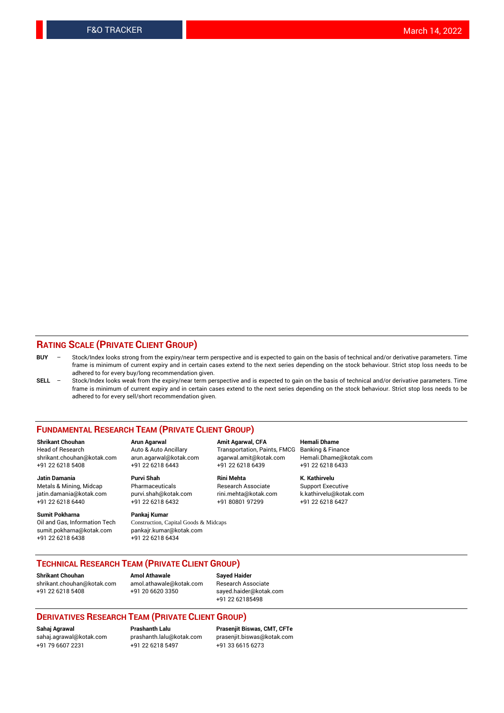## **RATING SCALE (PRIVATE CLIENT GROUP)**

- **BUY**  Stock/Index looks strong from the expiry/near term perspective and is expected to gain on the basis of technical and/or derivative parameters. Time frame is minimum of current expiry and in certain cases extend to the next series depending on the stock behaviour. Strict stop loss needs to be adhered to for every buy/long recommendation given.
- **SELL** Stock/Index looks weak from the expiry/near term perspective and is expected to gain on the basis of technical and/or derivative parameters. Time frame is minimum of current expiry and in certain cases extend to the next series depending on the stock behaviour. Strict stop loss needs to be adhered to for every sell/short recommendation given.

#### **FUNDAMENTAL RESEARCH TEAM (PRIVATE CLIENT GROUP)**

**Shrikant Chouhan Arun Agarwal Amit Agarwal, CFA Hemali Dhame** shrikant.chouhan@kotak.com arun.agarwal@kotak.com agarwal.amit@kotak.com Hemali.Dhame@kotak.com +91 22 6218 5408 +91 22 6218 6443 +91 22 6218 6439 +91 22 6218 6433

jatin.damania@kotak.com +91 22 6218 6440 +91 22 6218 6432 +91 80801 97299 +91 22 6218 6427

**Sumit Pokharna** Pankaj Kumar<br>Oil and Gas, Information Tech Construction, C sumit.pokharna@kotak.com pankajr.kumar@kotak.com +91 22 6218 6438 +91 22 6218 6434

**Jatin Damania Purvi Shah Rini Mehta K. Kathirvelu**

Construction, Capital Goods & Midcaps

Transportation, Paints, FMCG

Metals & Mining, Midcap Pharmaceuticals Pharmaceuticals Research Associate Support Executive<br>
iatin.damania@kotak.com purvi.shah@kotak.com rini.mehta@kotak.com k.kathirvelu@kotak.com

## **TECHNICAL RESEARCH TEAM (PRIVATE CLIENT GROUP)**

**Shrikant Chouhan Amol Athawale Sayed Haider** [shrikant.chouhan@kotak.com](mailto:shrikant.chouhan@kotak.com) [amol.athawale@kotak.com](mailto:amol.athawale@kotak.com) Research Associate +91 22 6218 5408 +91 20 6620 3350 [sayed.haider@kotak.com](mailto:sayed.haider@kotak.com)

+91 22 62185498

#### **DERIVATIVES RESEARCH TEAM (PRIVATE CLIENT GROUP)**

+91 79 6607 2231 +91 22 6218 5497 +91 33 6615 6273

**Sahaj Agrawal Prashanth Lalu Prasenjit Biswas, CMT, CFTe** [prasenjit.biswas@kotak.com](mailto:prasenjit.biswas@kotak.com)